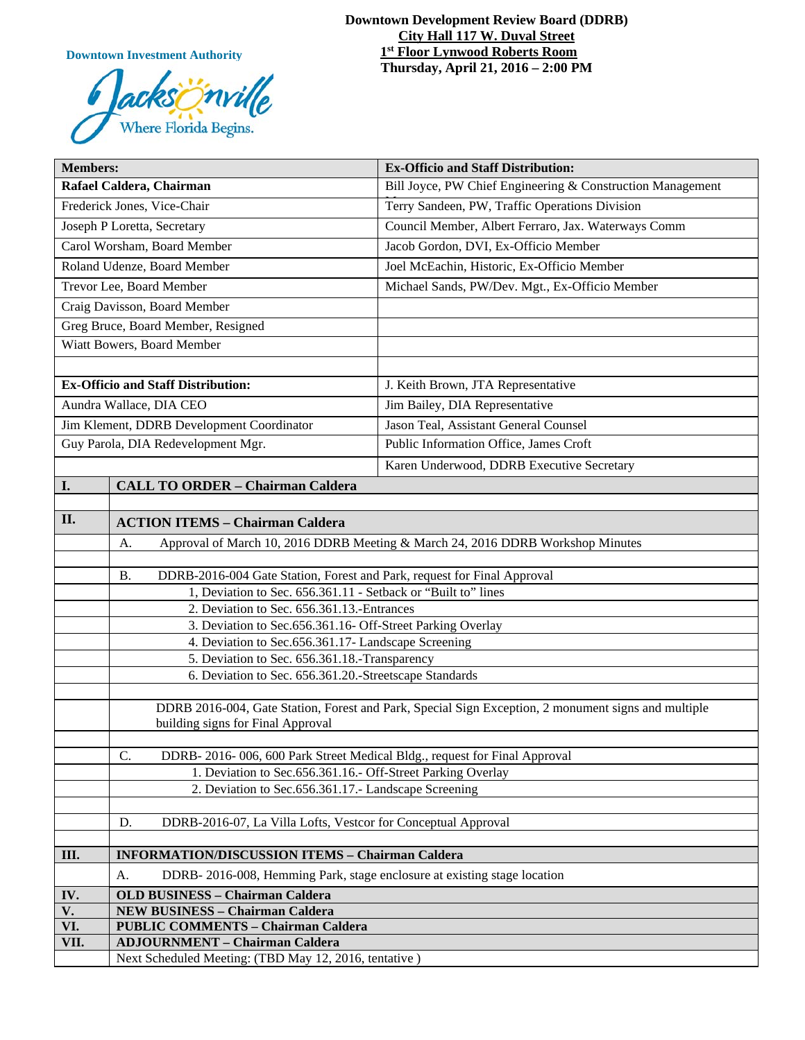**Downtown Investment Authority**



#### **Downtown Development Review Board (DDRB) City Hall 117 W. Duval Street 1st Floor Lynwood Roberts Room Thursday, April 21, 2016 – 2:00 PM**

| <b>Members:</b>                           |                                                                                                                                          | <b>Ex-Officio and Staff Distribution:</b>                  |
|-------------------------------------------|------------------------------------------------------------------------------------------------------------------------------------------|------------------------------------------------------------|
| Rafael Caldera, Chairman                  |                                                                                                                                          | Bill Joyce, PW Chief Engineering & Construction Management |
| Frederick Jones, Vice-Chair               |                                                                                                                                          | Terry Sandeen, PW, Traffic Operations Division             |
| Joseph P Loretta, Secretary               |                                                                                                                                          | Council Member, Albert Ferraro, Jax. Waterways Comm        |
| Carol Worsham, Board Member               |                                                                                                                                          | Jacob Gordon, DVI, Ex-Officio Member                       |
| Roland Udenze, Board Member               |                                                                                                                                          | Joel McEachin, Historic, Ex-Officio Member                 |
| Trevor Lee, Board Member                  |                                                                                                                                          | Michael Sands, PW/Dev. Mgt., Ex-Officio Member             |
| Craig Davisson, Board Member              |                                                                                                                                          |                                                            |
| Greg Bruce, Board Member, Resigned        |                                                                                                                                          |                                                            |
| Wiatt Bowers, Board Member                |                                                                                                                                          |                                                            |
|                                           |                                                                                                                                          |                                                            |
| <b>Ex-Officio and Staff Distribution:</b> |                                                                                                                                          | J. Keith Brown, JTA Representative                         |
| Aundra Wallace, DIA CEO                   |                                                                                                                                          | Jim Bailey, DIA Representative                             |
| Jim Klement, DDRB Development Coordinator |                                                                                                                                          | Jason Teal, Assistant General Counsel                      |
| Guy Parola, DIA Redevelopment Mgr.        |                                                                                                                                          | Public Information Office, James Croft                     |
|                                           |                                                                                                                                          | Karen Underwood, DDRB Executive Secretary                  |
| I.                                        | <b>CALL TO ORDER - Chairman Caldera</b>                                                                                                  |                                                            |
|                                           |                                                                                                                                          |                                                            |
| II.                                       | <b>ACTION ITEMS - Chairman Caldera</b>                                                                                                   |                                                            |
|                                           | Approval of March 10, 2016 DDRB Meeting & March 24, 2016 DDRB Workshop Minutes<br>A.                                                     |                                                            |
|                                           |                                                                                                                                          |                                                            |
|                                           | DDRB-2016-004 Gate Station, Forest and Park, request for Final Approval<br><b>B.</b>                                                     |                                                            |
|                                           | 1, Deviation to Sec. 656.361.11 - Setback or "Built to" lines                                                                            |                                                            |
|                                           | 2. Deviation to Sec. 656.361.13.-Entrances<br>3. Deviation to Sec.656.361.16- Off-Street Parking Overlay                                 |                                                            |
|                                           | 4. Deviation to Sec.656.361.17- Landscape Screening                                                                                      |                                                            |
|                                           | 5. Deviation to Sec. 656.361.18.-Transparency                                                                                            |                                                            |
|                                           | 6. Deviation to Sec. 656.361.20.-Streetscape Standards                                                                                   |                                                            |
|                                           |                                                                                                                                          |                                                            |
|                                           | DDRB 2016-004, Gate Station, Forest and Park, Special Sign Exception, 2 monument signs and multiple<br>building signs for Final Approval |                                                            |
|                                           |                                                                                                                                          |                                                            |
|                                           | C.<br>DDRB-2016-006, 600 Park Street Medical Bldg., request for Final Approval                                                           |                                                            |
|                                           | 1. Deviation to Sec.656.361.16.- Off-Street Parking Overlay                                                                              |                                                            |
|                                           | 2. Deviation to Sec.656.361.17.- Landscape Screening                                                                                     |                                                            |
|                                           | D.                                                                                                                                       |                                                            |
|                                           | DDRB-2016-07, La Villa Lofts, Vestcor for Conceptual Approval                                                                            |                                                            |
| Ш.                                        | <b>INFORMATION/DISCUSSION ITEMS - Chairman Caldera</b>                                                                                   |                                                            |
|                                           | DDRB-2016-008, Hemming Park, stage enclosure at existing stage location<br>A.                                                            |                                                            |
| IV.                                       | <b>OLD BUSINESS - Chairman Caldera</b>                                                                                                   |                                                            |
| $\overline{\mathbf{V}}$ .                 | <b>NEW BUSINESS - Chairman Caldera</b>                                                                                                   |                                                            |
| VI.                                       | <b>PUBLIC COMMENTS - Chairman Caldera</b>                                                                                                |                                                            |
| VII.                                      | <b>ADJOURNMENT - Chairman Caldera</b>                                                                                                    |                                                            |
|                                           | Next Scheduled Meeting: (TBD May 12, 2016, tentative)                                                                                    |                                                            |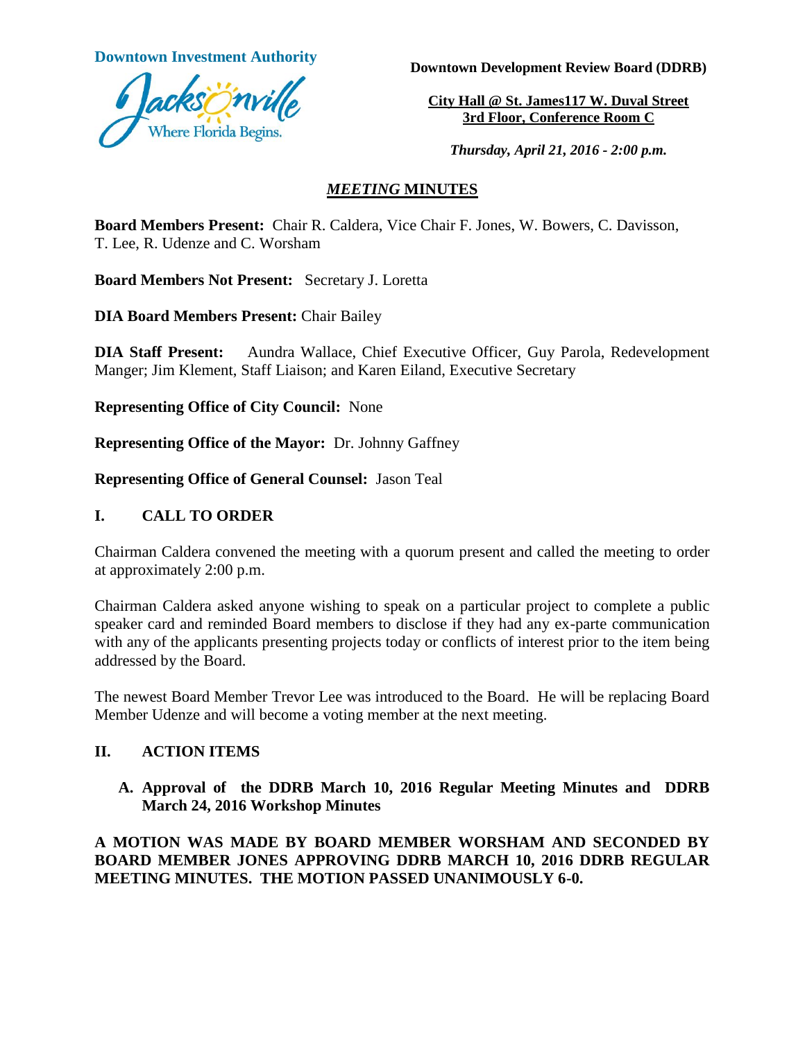**Downtown Investment Authority** 



**Downtown Development Review Board (DDRB)**

**City Hall @ St. James117 W. Duval Street 3rd Floor, Conference Room C**

*Thursday, April 21, 2016 - 2:00 p.m.*

## *MEETING* **MINUTES**

**Board Members Present:** Chair R. Caldera, Vice Chair F. Jones, W. Bowers, C. Davisson, T. Lee, R. Udenze and C. Worsham

**Board Members Not Present:** Secretary J. Loretta

**DIA Board Members Present:** Chair Bailey

**DIA Staff Present:** Aundra Wallace, Chief Executive Officer, Guy Parola, Redevelopment Manger; Jim Klement, Staff Liaison; and Karen Eiland, Executive Secretary

**Representing Office of City Council:** None

**Representing Office of the Mayor:** Dr. Johnny Gaffney

**Representing Office of General Counsel:** Jason Teal

# **I. CALL TO ORDER**

Chairman Caldera convened the meeting with a quorum present and called the meeting to order at approximately 2:00 p.m.

Chairman Caldera asked anyone wishing to speak on a particular project to complete a public speaker card and reminded Board members to disclose if they had any ex-parte communication with any of the applicants presenting projects today or conflicts of interest prior to the item being addressed by the Board.

The newest Board Member Trevor Lee was introduced to the Board. He will be replacing Board Member Udenze and will become a voting member at the next meeting.

## **II. ACTION ITEMS**

**A. Approval of the DDRB March 10, 2016 Regular Meeting Minutes and DDRB March 24, 2016 Workshop Minutes** 

**A MOTION WAS MADE BY BOARD MEMBER WORSHAM AND SECONDED BY BOARD MEMBER JONES APPROVING DDRB MARCH 10, 2016 DDRB REGULAR MEETING MINUTES. THE MOTION PASSED UNANIMOUSLY 6-0.**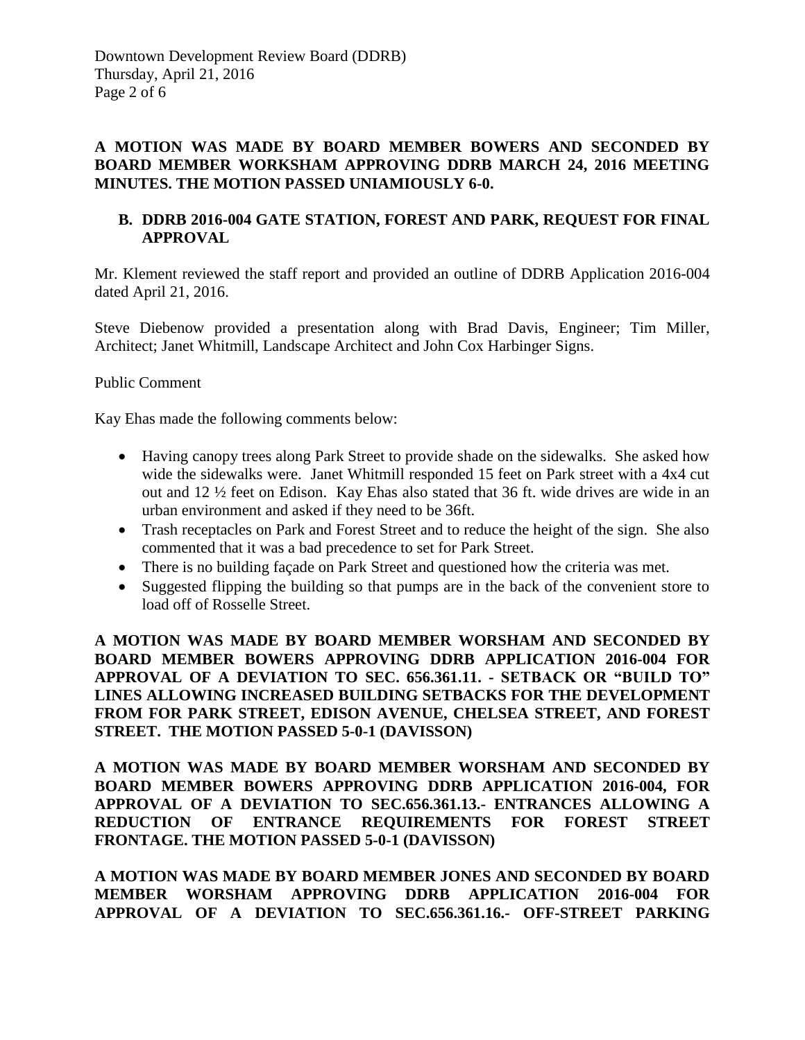## **A MOTION WAS MADE BY BOARD MEMBER BOWERS AND SECONDED BY BOARD MEMBER WORKSHAM APPROVING DDRB MARCH 24, 2016 MEETING MINUTES. THE MOTION PASSED UNIAMIOUSLY 6-0.**

# **B. DDRB 2016-004 GATE STATION, FOREST AND PARK, REQUEST FOR FINAL APPROVAL**

Mr. Klement reviewed the staff report and provided an outline of DDRB Application 2016-004 dated April 21, 2016.

Steve Diebenow provided a presentation along with Brad Davis, Engineer; Tim Miller, Architect; Janet Whitmill, Landscape Architect and John Cox Harbinger Signs.

## Public Comment

Kay Ehas made the following comments below:

- Having canopy trees along Park Street to provide shade on the sidewalks. She asked how wide the sidewalks were. Janet Whitmill responded 15 feet on Park street with a 4x4 cut out and 12 ½ feet on Edison. Kay Ehas also stated that 36 ft. wide drives are wide in an urban environment and asked if they need to be 36ft.
- Trash receptacles on Park and Forest Street and to reduce the height of the sign. She also commented that it was a bad precedence to set for Park Street.
- There is no building façade on Park Street and questioned how the criteria was met.
- Suggested flipping the building so that pumps are in the back of the convenient store to load off of Rosselle Street.

**A MOTION WAS MADE BY BOARD MEMBER WORSHAM AND SECONDED BY BOARD MEMBER BOWERS APPROVING DDRB APPLICATION 2016-004 FOR APPROVAL OF A DEVIATION TO SEC. 656.361.11. - SETBACK OR "BUILD TO" LINES ALLOWING INCREASED BUILDING SETBACKS FOR THE DEVELOPMENT FROM FOR PARK STREET, EDISON AVENUE, CHELSEA STREET, AND FOREST STREET. THE MOTION PASSED 5-0-1 (DAVISSON)** 

**A MOTION WAS MADE BY BOARD MEMBER WORSHAM AND SECONDED BY BOARD MEMBER BOWERS APPROVING DDRB APPLICATION 2016-004, FOR APPROVAL OF A DEVIATION TO SEC.656.361.13.- ENTRANCES ALLOWING A REDUCTION OF ENTRANCE REQUIREMENTS FOR FOREST STREET FRONTAGE. THE MOTION PASSED 5-0-1 (DAVISSON)**

**A MOTION WAS MADE BY BOARD MEMBER JONES AND SECONDED BY BOARD MEMBER WORSHAM APPROVING DDRB APPLICATION 2016-004 FOR APPROVAL OF A DEVIATION TO SEC.656.361.16.- OFF-STREET PARKING**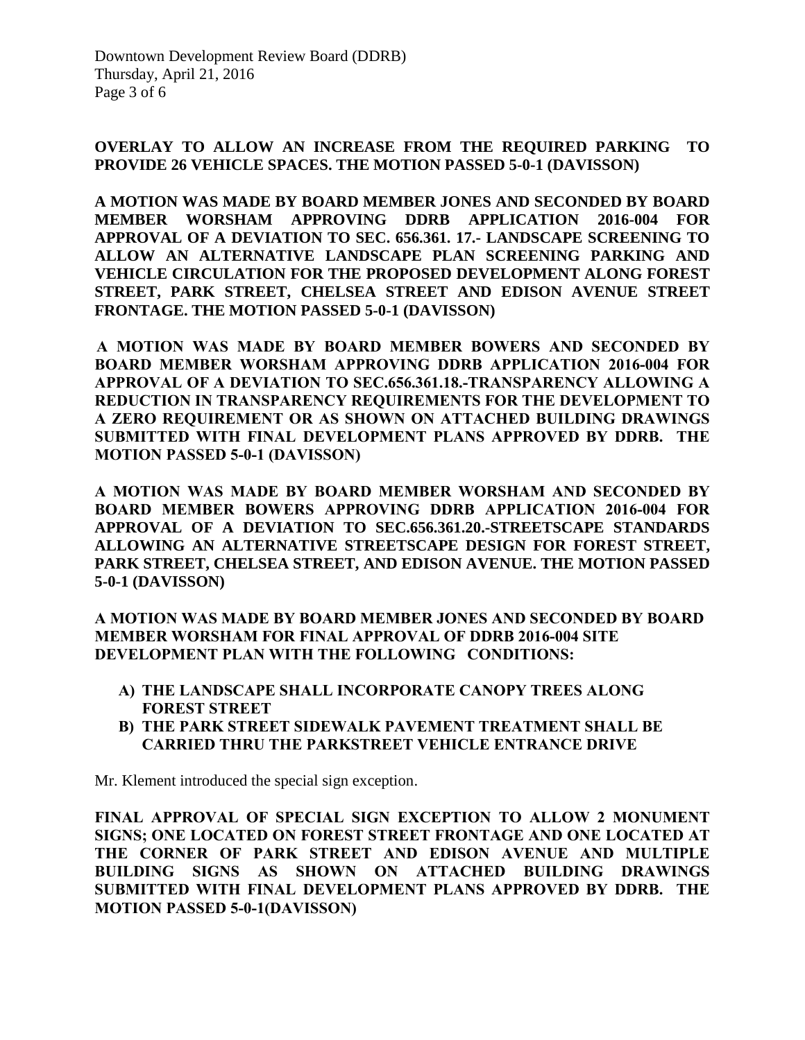#### **OVERLAY TO ALLOW AN INCREASE FROM THE REQUIRED PARKING TO PROVIDE 26 VEHICLE SPACES. THE MOTION PASSED 5-0-1 (DAVISSON)**

**A MOTION WAS MADE BY BOARD MEMBER JONES AND SECONDED BY BOARD MEMBER WORSHAM APPROVING DDRB APPLICATION 2016-004 FOR APPROVAL OF A DEVIATION TO SEC. 656.361. 17.- LANDSCAPE SCREENING TO ALLOW AN ALTERNATIVE LANDSCAPE PLAN SCREENING PARKING AND VEHICLE CIRCULATION FOR THE PROPOSED DEVELOPMENT ALONG FOREST STREET, PARK STREET, CHELSEA STREET AND EDISON AVENUE STREET FRONTAGE. THE MOTION PASSED 5-0-1 (DAVISSON)** 

 **A MOTION WAS MADE BY BOARD MEMBER BOWERS AND SECONDED BY BOARD MEMBER WORSHAM APPROVING DDRB APPLICATION 2016-004 FOR APPROVAL OF A DEVIATION TO SEC.656.361.18.-TRANSPARENCY ALLOWING A REDUCTION IN TRANSPARENCY REQUIREMENTS FOR THE DEVELOPMENT TO A ZERO REQUIREMENT OR AS SHOWN ON ATTACHED BUILDING DRAWINGS SUBMITTED WITH FINAL DEVELOPMENT PLANS APPROVED BY DDRB. THE MOTION PASSED 5-0-1 (DAVISSON)** 

**A MOTION WAS MADE BY BOARD MEMBER WORSHAM AND SECONDED BY BOARD MEMBER BOWERS APPROVING DDRB APPLICATION 2016-004 FOR APPROVAL OF A DEVIATION TO SEC.656.361.20.-STREETSCAPE STANDARDS ALLOWING AN ALTERNATIVE STREETSCAPE DESIGN FOR FOREST STREET, PARK STREET, CHELSEA STREET, AND EDISON AVENUE. THE MOTION PASSED 5-0-1 (DAVISSON)** 

**A MOTION WAS MADE BY BOARD MEMBER JONES AND SECONDED BY BOARD MEMBER WORSHAM FOR FINAL APPROVAL OF DDRB 2016-004 SITE DEVELOPMENT PLAN WITH THE FOLLOWING CONDITIONS:**

- **A) THE LANDSCAPE SHALL INCORPORATE CANOPY TREES ALONG FOREST STREET**
- **B) THE PARK STREET SIDEWALK PAVEMENT TREATMENT SHALL BE CARRIED THRU THE PARKSTREET VEHICLE ENTRANCE DRIVE**

Mr. Klement introduced the special sign exception.

**FINAL APPROVAL OF SPECIAL SIGN EXCEPTION TO ALLOW 2 MONUMENT SIGNS; ONE LOCATED ON FOREST STREET FRONTAGE AND ONE LOCATED AT THE CORNER OF PARK STREET AND EDISON AVENUE AND MULTIPLE BUILDING SIGNS AS SHOWN ON ATTACHED BUILDING DRAWINGS SUBMITTED WITH FINAL DEVELOPMENT PLANS APPROVED BY DDRB. THE MOTION PASSED 5-0-1(DAVISSON)**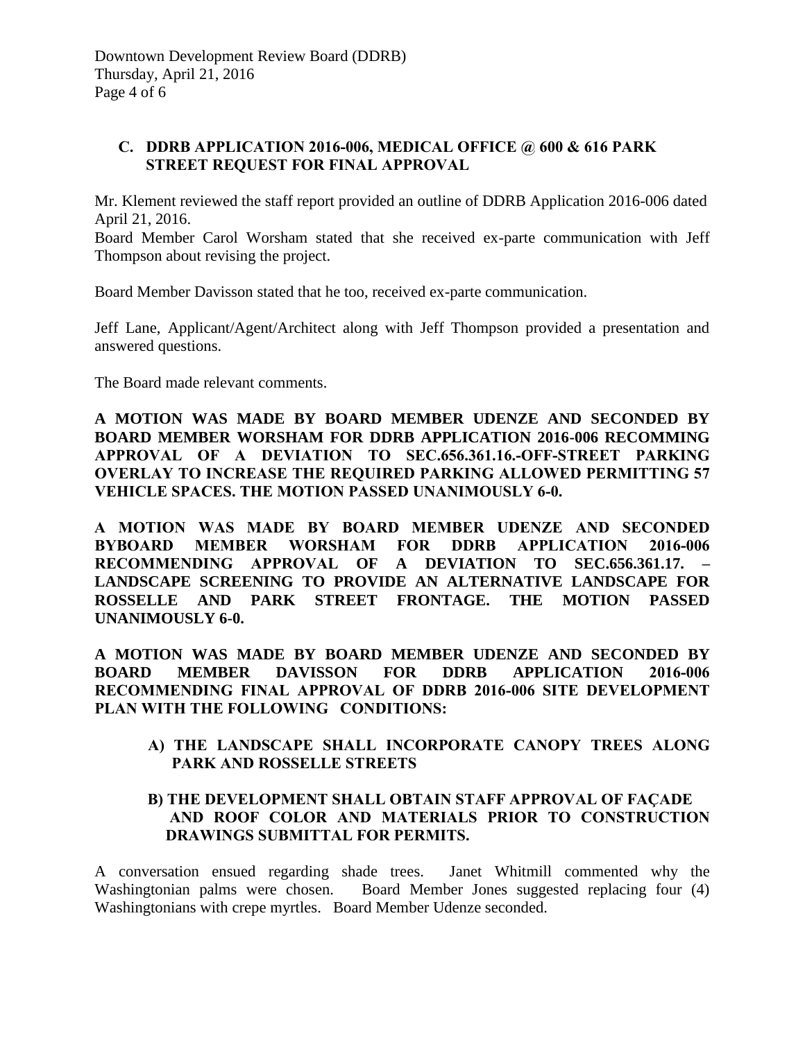Downtown Development Review Board (DDRB) Thursday, April 21, 2016 Page 4 of 6

#### **C. DDRB APPLICATION 2016-006, MEDICAL OFFICE @ 600 & 616 PARK STREET REQUEST FOR FINAL APPROVAL**

Mr. Klement reviewed the staff report provided an outline of DDRB Application 2016-006 dated April 21, 2016.

Board Member Carol Worsham stated that she received ex-parte communication with Jeff Thompson about revising the project.

Board Member Davisson stated that he too, received ex-parte communication.

Jeff Lane, Applicant/Agent/Architect along with Jeff Thompson provided a presentation and answered questions.

The Board made relevant comments.

**A MOTION WAS MADE BY BOARD MEMBER UDENZE AND SECONDED BY BOARD MEMBER WORSHAM FOR DDRB APPLICATION 2016-006 RECOMMING APPROVAL OF A DEVIATION TO SEC.656.361.16.-OFF-STREET PARKING OVERLAY TO INCREASE THE REQUIRED PARKING ALLOWED PERMITTING 57 VEHICLE SPACES. THE MOTION PASSED UNANIMOUSLY 6-0.** 

**A MOTION WAS MADE BY BOARD MEMBER UDENZE AND SECONDED BYBOARD MEMBER WORSHAM FOR DDRB APPLICATION 2016-006 RECOMMENDING APPROVAL OF A DEVIATION TO SEC.656.361.17. – LANDSCAPE SCREENING TO PROVIDE AN ALTERNATIVE LANDSCAPE FOR ROSSELLE AND PARK STREET FRONTAGE. THE MOTION PASSED UNANIMOUSLY 6-0.** 

**A MOTION WAS MADE BY BOARD MEMBER UDENZE AND SECONDED BY BOARD MEMBER DAVISSON FOR DDRB APPLICATION 2016-006 RECOMMENDING FINAL APPROVAL OF DDRB 2016-006 SITE DEVELOPMENT PLAN WITH THE FOLLOWING CONDITIONS:**

**A) THE LANDSCAPE SHALL INCORPORATE CANOPY TREES ALONG PARK AND ROSSELLE STREETS**

## **B) THE DEVELOPMENT SHALL OBTAIN STAFF APPROVAL OF FAÇADE AND ROOF COLOR AND MATERIALS PRIOR TO CONSTRUCTION DRAWINGS SUBMITTAL FOR PERMITS.**

A conversation ensued regarding shade trees. Janet Whitmill commented why the Washingtonian palms were chosen. Board Member Jones suggested replacing four (4) Washingtonians with crepe myrtles. Board Member Udenze seconded.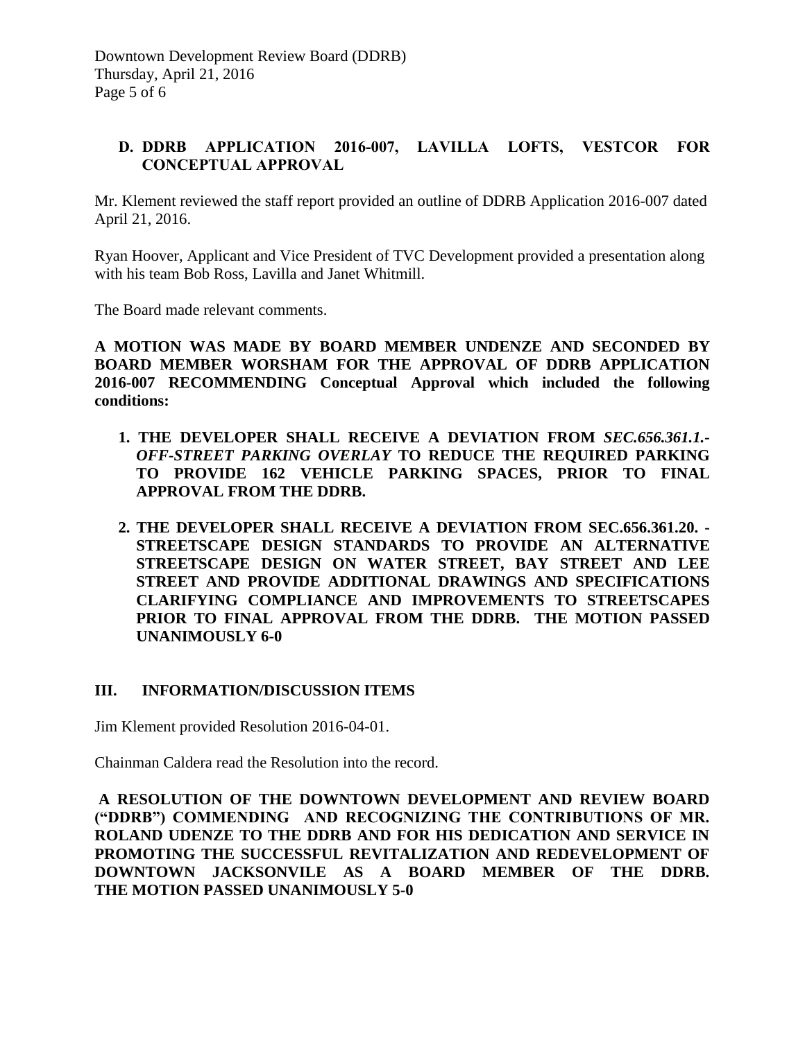Downtown Development Review Board (DDRB) Thursday, April 21, 2016 Page 5 of 6

## **D. DDRB APPLICATION 2016-007, LAVILLA LOFTS, VESTCOR FOR CONCEPTUAL APPROVAL**

Mr. Klement reviewed the staff report provided an outline of DDRB Application 2016-007 dated April 21, 2016.

Ryan Hoover, Applicant and Vice President of TVC Development provided a presentation along with his team Bob Ross, Lavilla and Janet Whitmill.

The Board made relevant comments.

**A MOTION WAS MADE BY BOARD MEMBER UNDENZE AND SECONDED BY BOARD MEMBER WORSHAM FOR THE APPROVAL OF DDRB APPLICATION 2016-007 RECOMMENDING Conceptual Approval which included the following conditions:**

- **1. THE DEVELOPER SHALL RECEIVE A DEVIATION FROM** *SEC.656.361.1.- OFF-STREET PARKING OVERLAY* **TO REDUCE THE REQUIRED PARKING TO PROVIDE 162 VEHICLE PARKING SPACES, PRIOR TO FINAL APPROVAL FROM THE DDRB.**
- **2. THE DEVELOPER SHALL RECEIVE A DEVIATION FROM SEC.656.361.20. - STREETSCAPE DESIGN STANDARDS TO PROVIDE AN ALTERNATIVE STREETSCAPE DESIGN ON WATER STREET, BAY STREET AND LEE STREET AND PROVIDE ADDITIONAL DRAWINGS AND SPECIFICATIONS CLARIFYING COMPLIANCE AND IMPROVEMENTS TO STREETSCAPES PRIOR TO FINAL APPROVAL FROM THE DDRB. THE MOTION PASSED UNANIMOUSLY 6-0**

#### **III. INFORMATION/DISCUSSION ITEMS**

Jim Klement provided Resolution 2016-04-01.

Chainman Caldera read the Resolution into the record.

**A RESOLUTION OF THE DOWNTOWN DEVELOPMENT AND REVIEW BOARD ("DDRB") COMMENDING AND RECOGNIZING THE CONTRIBUTIONS OF MR. ROLAND UDENZE TO THE DDRB AND FOR HIS DEDICATION AND SERVICE IN PROMOTING THE SUCCESSFUL REVITALIZATION AND REDEVELOPMENT OF DOWNTOWN JACKSONVILE AS A BOARD MEMBER OF THE DDRB. THE MOTION PASSED UNANIMOUSLY 5-0**